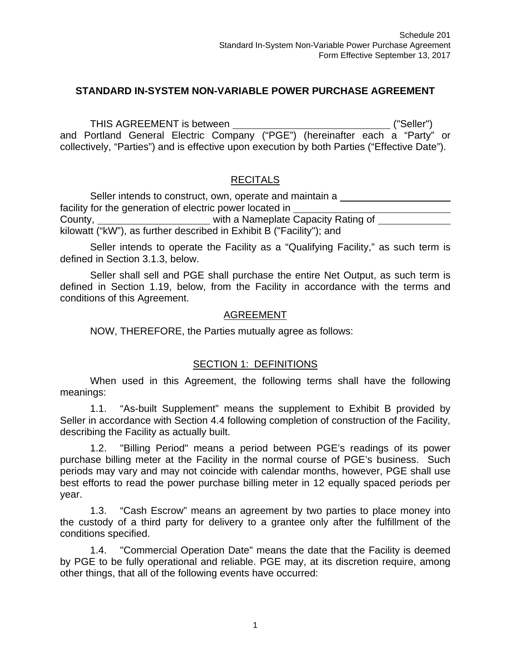## **STANDARD IN-SYSTEM NON-VARIABLE POWER PURCHASE AGREEMENT**

THIS AGREEMENT is between  $($ "Seller") and Portland General Electric Company ("PGE") (hereinafter each a "Party" or collectively, "Parties") and is effective upon execution by both Parties ("Effective Date").

#### **RECITALS**

Seller intends to construct, own, operate and maintain a facility for the generation of electric power located in County, with a Nameplate Capacity Rating of kilowatt ("kW"), as further described in Exhibit B ("Facility"); and

Seller intends to operate the Facility as a "Qualifying Facility," as such term is defined in Section 3.1.3, below.

Seller shall sell and PGE shall purchase the entire Net Output, as such term is defined in Section 1.19, below, from the Facility in accordance with the terms and conditions of this Agreement.

#### AGREEMENT

NOW, THEREFORE, the Parties mutually agree as follows:

#### SECTION 1: DEFINITIONS

When used in this Agreement, the following terms shall have the following meanings:

1.1. "As-built Supplement" means the supplement to Exhibit B provided by Seller in accordance with Section 4.4 following completion of construction of the Facility, describing the Facility as actually built.

1.2. "Billing Period" means a period between PGE's readings of its power purchase billing meter at the Facility in the normal course of PGE's business. Such periods may vary and may not coincide with calendar months, however, PGE shall use best efforts to read the power purchase billing meter in 12 equally spaced periods per year.

1.3. "Cash Escrow" means an agreement by two parties to place money into the custody of a third party for delivery to a grantee only after the fulfillment of the conditions specified.

1.4. "Commercial Operation Date" means the date that the Facility is deemed by PGE to be fully operational and reliable. PGE may, at its discretion require, among other things, that all of the following events have occurred: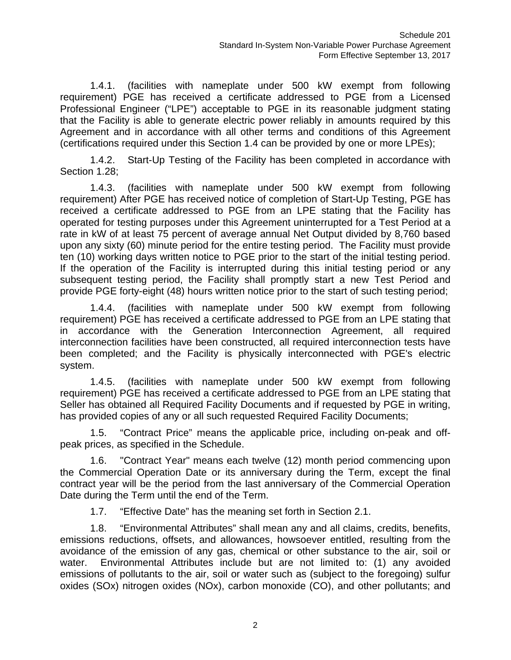1.4.1. (facilities with nameplate under 500 kW exempt from following requirement) PGE has received a certificate addressed to PGE from a Licensed Professional Engineer ("LPE") acceptable to PGE in its reasonable judgment stating that the Facility is able to generate electric power reliably in amounts required by this Agreement and in accordance with all other terms and conditions of this Agreement (certifications required under this Section 1.4 can be provided by one or more LPEs);

1.4.2. Start-Up Testing of the Facility has been completed in accordance with Section 1.28;

1.4.3. (facilities with nameplate under 500 kW exempt from following requirement) After PGE has received notice of completion of Start-Up Testing, PGE has received a certificate addressed to PGE from an LPE stating that the Facility has operated for testing purposes under this Agreement uninterrupted for a Test Period at a rate in kW of at least 75 percent of average annual Net Output divided by 8,760 based upon any sixty (60) minute period for the entire testing period. The Facility must provide ten (10) working days written notice to PGE prior to the start of the initial testing period. If the operation of the Facility is interrupted during this initial testing period or any subsequent testing period, the Facility shall promptly start a new Test Period and provide PGE forty-eight (48) hours written notice prior to the start of such testing period;

1.4.4. (facilities with nameplate under 500 kW exempt from following requirement) PGE has received a certificate addressed to PGE from an LPE stating that in accordance with the Generation Interconnection Agreement, all required interconnection facilities have been constructed, all required interconnection tests have been completed; and the Facility is physically interconnected with PGE's electric system.

1.4.5. (facilities with nameplate under 500 kW exempt from following requirement) PGE has received a certificate addressed to PGE from an LPE stating that Seller has obtained all Required Facility Documents and if requested by PGE in writing, has provided copies of any or all such requested Required Facility Documents;

1.5. "Contract Price" means the applicable price, including on-peak and offpeak prices, as specified in the Schedule.

1.6. "Contract Year" means each twelve (12) month period commencing upon the Commercial Operation Date or its anniversary during the Term, except the final contract year will be the period from the last anniversary of the Commercial Operation Date during the Term until the end of the Term.

1.7. "Effective Date" has the meaning set forth in Section 2.1.

1.8. "Environmental Attributes" shall mean any and all claims, credits, benefits, emissions reductions, offsets, and allowances, howsoever entitled, resulting from the avoidance of the emission of any gas, chemical or other substance to the air, soil or water. Environmental Attributes include but are not limited to: (1) any avoided emissions of pollutants to the air, soil or water such as (subject to the foregoing) sulfur oxides (SOx) nitrogen oxides (NOx), carbon monoxide (CO), and other pollutants; and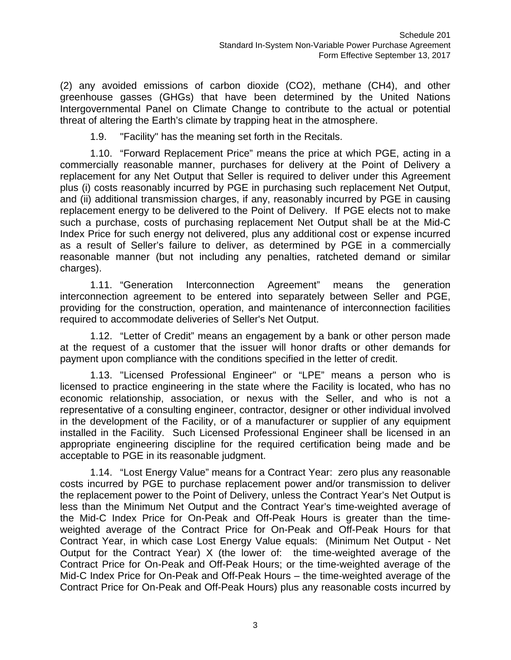(2) any avoided emissions of carbon dioxide (CO2), methane (CH4), and other greenhouse gasses (GHGs) that have been determined by the United Nations Intergovernmental Panel on Climate Change to contribute to the actual or potential threat of altering the Earth's climate by trapping heat in the atmosphere.

1.9. "Facility" has the meaning set forth in the Recitals.

1.10. "Forward Replacement Price" means the price at which PGE, acting in a commercially reasonable manner, purchases for delivery at the Point of Delivery a replacement for any Net Output that Seller is required to deliver under this Agreement plus (i) costs reasonably incurred by PGE in purchasing such replacement Net Output, and (ii) additional transmission charges, if any, reasonably incurred by PGE in causing replacement energy to be delivered to the Point of Delivery. If PGE elects not to make such a purchase, costs of purchasing replacement Net Output shall be at the Mid-C Index Price for such energy not delivered, plus any additional cost or expense incurred as a result of Seller's failure to deliver, as determined by PGE in a commercially reasonable manner (but not including any penalties, ratcheted demand or similar charges).

1.11. "Generation Interconnection Agreement" means the generation interconnection agreement to be entered into separately between Seller and PGE, providing for the construction, operation, and maintenance of interconnection facilities required to accommodate deliveries of Seller's Net Output.

1.12. "Letter of Credit" means an engagement by a bank or other person made at the request of a customer that the issuer will honor drafts or other demands for payment upon compliance with the conditions specified in the letter of credit.

1.13. "Licensed Professional Engineer" or "LPE" means a person who is licensed to practice engineering in the state where the Facility is located, who has no economic relationship, association, or nexus with the Seller, and who is not a representative of a consulting engineer, contractor, designer or other individual involved in the development of the Facility, or of a manufacturer or supplier of any equipment installed in the Facility. Such Licensed Professional Engineer shall be licensed in an appropriate engineering discipline for the required certification being made and be acceptable to PGE in its reasonable judgment.

1.14. "Lost Energy Value" means for a Contract Year: zero plus any reasonable costs incurred by PGE to purchase replacement power and/or transmission to deliver the replacement power to the Point of Delivery, unless the Contract Year's Net Output is less than the Minimum Net Output and the Contract Year's time-weighted average of the Mid-C Index Price for On-Peak and Off-Peak Hours is greater than the timeweighted average of the Contract Price for On-Peak and Off-Peak Hours for that Contract Year, in which case Lost Energy Value equals: (Minimum Net Output - Net Output for the Contract Year) X (the lower of: the time-weighted average of the Contract Price for On-Peak and Off-Peak Hours; or the time-weighted average of the Mid-C Index Price for On-Peak and Off-Peak Hours – the time-weighted average of the Contract Price for On-Peak and Off-Peak Hours) plus any reasonable costs incurred by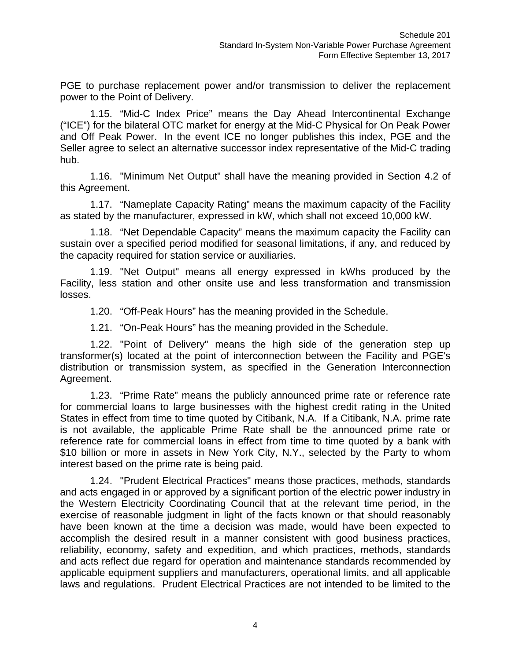PGE to purchase replacement power and/or transmission to deliver the replacement power to the Point of Delivery.

1.15. "Mid-C Index Price" means the Day Ahead Intercontinental Exchange ("ICE") for the bilateral OTC market for energy at the Mid-C Physical for On Peak Power and Off Peak Power. In the event ICE no longer publishes this index, PGE and the Seller agree to select an alternative successor index representative of the Mid-C trading hub.

1.16. "Minimum Net Output" shall have the meaning provided in Section 4.2 of this Agreement.

1.17. "Nameplate Capacity Rating" means the maximum capacity of the Facility as stated by the manufacturer, expressed in kW, which shall not exceed 10,000 kW.

1.18. "Net Dependable Capacity" means the maximum capacity the Facility can sustain over a specified period modified for seasonal limitations, if any, and reduced by the capacity required for station service or auxiliaries.

1.19. "Net Output" means all energy expressed in kWhs produced by the Facility, less station and other onsite use and less transformation and transmission losses.

1.20. "Off-Peak Hours" has the meaning provided in the Schedule.

1.21. "On-Peak Hours" has the meaning provided in the Schedule.

1.22. "Point of Delivery" means the high side of the generation step up transformer(s) located at the point of interconnection between the Facility and PGE's distribution or transmission system, as specified in the Generation Interconnection Agreement.

1.23. "Prime Rate" means the publicly announced prime rate or reference rate for commercial loans to large businesses with the highest credit rating in the United States in effect from time to time quoted by Citibank, N.A. If a Citibank, N.A. prime rate is not available, the applicable Prime Rate shall be the announced prime rate or reference rate for commercial loans in effect from time to time quoted by a bank with \$10 billion or more in assets in New York City, N.Y., selected by the Party to whom interest based on the prime rate is being paid.

1.24. "Prudent Electrical Practices" means those practices, methods, standards and acts engaged in or approved by a significant portion of the electric power industry in the Western Electricity Coordinating Council that at the relevant time period, in the exercise of reasonable judgment in light of the facts known or that should reasonably have been known at the time a decision was made, would have been expected to accomplish the desired result in a manner consistent with good business practices, reliability, economy, safety and expedition, and which practices, methods, standards and acts reflect due regard for operation and maintenance standards recommended by applicable equipment suppliers and manufacturers, operational limits, and all applicable laws and regulations. Prudent Electrical Practices are not intended to be limited to the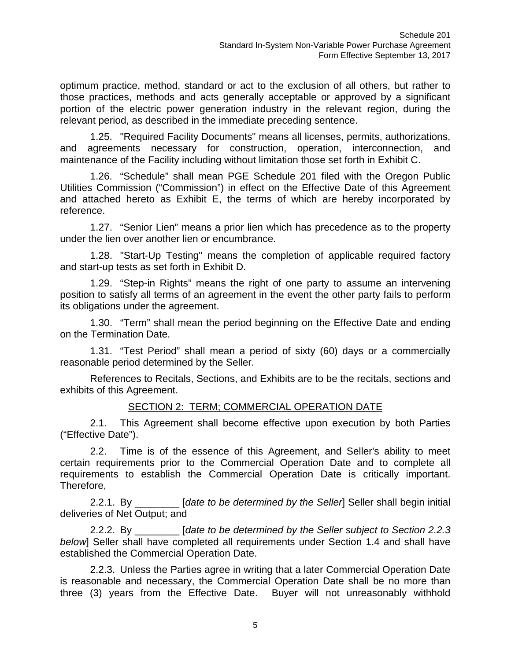optimum practice, method, standard or act to the exclusion of all others, but rather to those practices, methods and acts generally acceptable or approved by a significant portion of the electric power generation industry in the relevant region, during the relevant period, as described in the immediate preceding sentence.

1.25. "Required Facility Documents" means all licenses, permits, authorizations, and agreements necessary for construction, operation, interconnection, and maintenance of the Facility including without limitation those set forth in Exhibit C.

1.26. "Schedule" shall mean PGE Schedule 201 filed with the Oregon Public Utilities Commission ("Commission") in effect on the Effective Date of this Agreement and attached hereto as Exhibit E, the terms of which are hereby incorporated by reference.

1.27. "Senior Lien" means a prior lien which has precedence as to the property under the lien over another lien or encumbrance.

1.28. "Start-Up Testing" means the completion of applicable required factory and start-up tests as set forth in Exhibit D.

1.29. "Step-in Rights" means the right of one party to assume an intervening position to satisfy all terms of an agreement in the event the other party fails to perform its obligations under the agreement.

1.30. "Term" shall mean the period beginning on the Effective Date and ending on the Termination Date.

1.31. "Test Period" shall mean a period of sixty (60) days or a commercially reasonable period determined by the Seller.

References to Recitals, Sections, and Exhibits are to be the recitals, sections and exhibits of this Agreement.

#### SECTION 2: TERM; COMMERCIAL OPERATION DATE

2.1. This Agreement shall become effective upon execution by both Parties ("Effective Date").

2.2. Time is of the essence of this Agreement, and Seller's ability to meet certain requirements prior to the Commercial Operation Date and to complete all requirements to establish the Commercial Operation Date is critically important. Therefore,

2.2.1. By \_\_\_\_\_\_\_\_ [*date to be determined by the Seller*] Seller shall begin initial deliveries of Net Output; and

2.2.2. By \_\_\_\_\_\_\_\_ [*date to be determined by the Seller subject to Section 2.2.3 below*] Seller shall have completed all requirements under Section 1.4 and shall have established the Commercial Operation Date.

2.2.3. Unless the Parties agree in writing that a later Commercial Operation Date is reasonable and necessary, the Commercial Operation Date shall be no more than three (3) years from the Effective Date. Buyer will not unreasonably withhold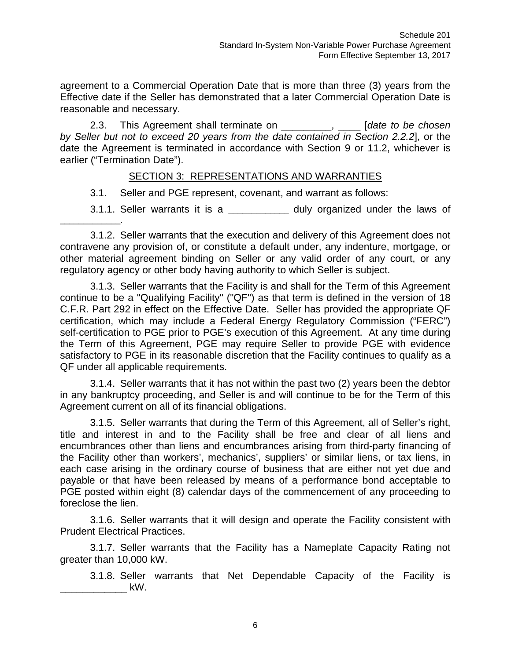agreement to a Commercial Operation Date that is more than three (3) years from the Effective date if the Seller has demonstrated that a later Commercial Operation Date is reasonable and necessary.

2.3. This Agreement shall terminate on \_\_\_\_\_\_\_\_\_, \_\_\_\_ [*date to be chosen by Seller but not to exceed 20 years from the date contained in Section 2.2.2*], or the date the Agreement is terminated in accordance with Section 9 or 11.2, whichever is earlier ("Termination Date").

#### SECTION 3: REPRESENTATIONS AND WARRANTIES

3.1. Seller and PGE represent, covenant, and warrant as follows:

3.1.1. Seller warrants it is a  $\qquad \qquad$  duly organized under the laws of

3.1.2. Seller warrants that the execution and delivery of this Agreement does not contravene any provision of, or constitute a default under, any indenture, mortgage, or other material agreement binding on Seller or any valid order of any court, or any regulatory agency or other body having authority to which Seller is subject.

3.1.3. Seller warrants that the Facility is and shall for the Term of this Agreement continue to be a "Qualifying Facility" ("QF") as that term is defined in the version of 18 C.F.R. Part 292 in effect on the Effective Date. Seller has provided the appropriate QF certification, which may include a Federal Energy Regulatory Commission ("FERC") self-certification to PGE prior to PGE's execution of this Agreement. At any time during the Term of this Agreement, PGE may require Seller to provide PGE with evidence satisfactory to PGE in its reasonable discretion that the Facility continues to qualify as a QF under all applicable requirements.

3.1.4. Seller warrants that it has not within the past two (2) years been the debtor in any bankruptcy proceeding, and Seller is and will continue to be for the Term of this Agreement current on all of its financial obligations.

3.1.5. Seller warrants that during the Term of this Agreement, all of Seller's right, title and interest in and to the Facility shall be free and clear of all liens and encumbrances other than liens and encumbrances arising from third-party financing of the Facility other than workers', mechanics', suppliers' or similar liens, or tax liens, in each case arising in the ordinary course of business that are either not yet due and payable or that have been released by means of a performance bond acceptable to PGE posted within eight (8) calendar days of the commencement of any proceeding to foreclose the lien.

3.1.6. Seller warrants that it will design and operate the Facility consistent with Prudent Electrical Practices.

3.1.7. Seller warrants that the Facility has a Nameplate Capacity Rating not greater than 10,000 kW.

3.1.8. Seller warrants that Net Dependable Capacity of the Facility is \_\_\_\_\_\_\_\_\_\_\_\_ kW.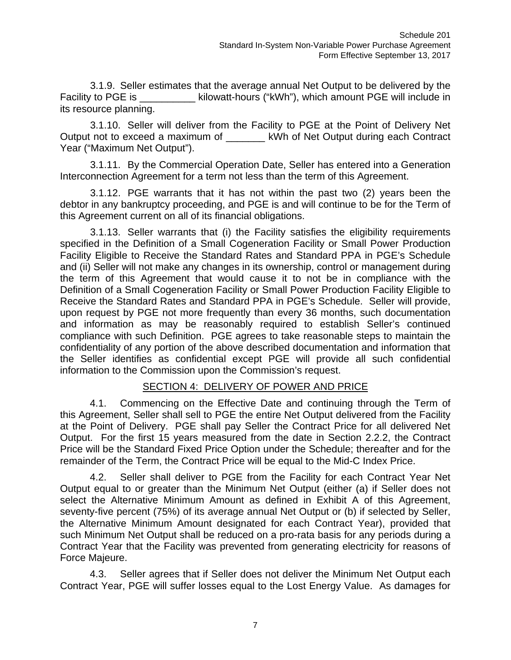3.1.9. Seller estimates that the average annual Net Output to be delivered by the Facility to PGE is https://www.ti-hours ("kWh"), which amount PGE will include in its resource planning.

3.1.10. Seller will deliver from the Facility to PGE at the Point of Delivery Net Output not to exceed a maximum of \_\_\_\_\_\_\_ kWh of Net Output during each Contract Year ("Maximum Net Output").

3.1.11. By the Commercial Operation Date, Seller has entered into a Generation Interconnection Agreement for a term not less than the term of this Agreement.

3.1.12. PGE warrants that it has not within the past two (2) years been the debtor in any bankruptcy proceeding, and PGE is and will continue to be for the Term of this Agreement current on all of its financial obligations.

3.1.13. Seller warrants that (i) the Facility satisfies the eligibility requirements specified in the Definition of a Small Cogeneration Facility or Small Power Production Facility Eligible to Receive the Standard Rates and Standard PPA in PGE's Schedule and (ii) Seller will not make any changes in its ownership, control or management during the term of this Agreement that would cause it to not be in compliance with the Definition of a Small Cogeneration Facility or Small Power Production Facility Eligible to Receive the Standard Rates and Standard PPA in PGE's Schedule. Seller will provide, upon request by PGE not more frequently than every 36 months, such documentation and information as may be reasonably required to establish Seller's continued compliance with such Definition. PGE agrees to take reasonable steps to maintain the confidentiality of any portion of the above described documentation and information that the Seller identifies as confidential except PGE will provide all such confidential information to the Commission upon the Commission's request.

# SECTION 4: DELIVERY OF POWER AND PRICE

4.1. Commencing on the Effective Date and continuing through the Term of this Agreement, Seller shall sell to PGE the entire Net Output delivered from the Facility at the Point of Delivery. PGE shall pay Seller the Contract Price for all delivered Net Output. For the first 15 years measured from the date in Section 2.2.2, the Contract Price will be the Standard Fixed Price Option under the Schedule; thereafter and for the remainder of the Term, the Contract Price will be equal to the Mid-C Index Price.

4.2. Seller shall deliver to PGE from the Facility for each Contract Year Net Output equal to or greater than the Minimum Net Output (either (a) if Seller does not select the Alternative Minimum Amount as defined in Exhibit A of this Agreement, seventy-five percent (75%) of its average annual Net Output or (b) if selected by Seller, the Alternative Minimum Amount designated for each Contract Year), provided that such Minimum Net Output shall be reduced on a pro-rata basis for any periods during a Contract Year that the Facility was prevented from generating electricity for reasons of Force Majeure.

4.3. Seller agrees that if Seller does not deliver the Minimum Net Output each Contract Year, PGE will suffer losses equal to the Lost Energy Value. As damages for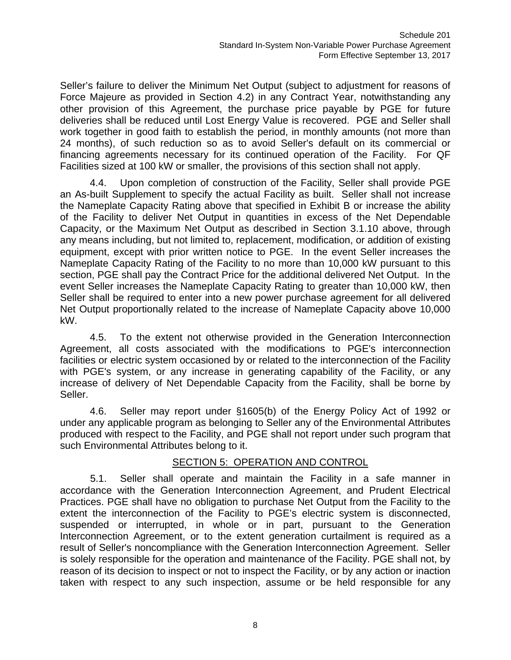Seller's failure to deliver the Minimum Net Output (subject to adjustment for reasons of Force Majeure as provided in Section 4.2) in any Contract Year, notwithstanding any other provision of this Agreement, the purchase price payable by PGE for future deliveries shall be reduced until Lost Energy Value is recovered. PGE and Seller shall work together in good faith to establish the period, in monthly amounts (not more than 24 months), of such reduction so as to avoid Seller's default on its commercial or financing agreements necessary for its continued operation of the Facility. For QF Facilities sized at 100 kW or smaller, the provisions of this section shall not apply.

4.4. Upon completion of construction of the Facility, Seller shall provide PGE an As-built Supplement to specify the actual Facility as built. Seller shall not increase the Nameplate Capacity Rating above that specified in Exhibit B or increase the ability of the Facility to deliver Net Output in quantities in excess of the Net Dependable Capacity, or the Maximum Net Output as described in Section 3.1.10 above, through any means including, but not limited to, replacement, modification, or addition of existing equipment, except with prior written notice to PGE. In the event Seller increases the Nameplate Capacity Rating of the Facility to no more than 10,000 kW pursuant to this section, PGE shall pay the Contract Price for the additional delivered Net Output. In the event Seller increases the Nameplate Capacity Rating to greater than 10,000 kW, then Seller shall be required to enter into a new power purchase agreement for all delivered Net Output proportionally related to the increase of Nameplate Capacity above 10,000 kW.

4.5. To the extent not otherwise provided in the Generation Interconnection Agreement, all costs associated with the modifications to PGE's interconnection facilities or electric system occasioned by or related to the interconnection of the Facility with PGE's system, or any increase in generating capability of the Facility, or any increase of delivery of Net Dependable Capacity from the Facility, shall be borne by Seller.

4.6. Seller may report under §1605(b) of the Energy Policy Act of 1992 or under any applicable program as belonging to Seller any of the Environmental Attributes produced with respect to the Facility, and PGE shall not report under such program that such Environmental Attributes belong to it.

# SECTION 5: OPERATION AND CONTROL

5.1. Seller shall operate and maintain the Facility in a safe manner in accordance with the Generation Interconnection Agreement, and Prudent Electrical Practices. PGE shall have no obligation to purchase Net Output from the Facility to the extent the interconnection of the Facility to PGE's electric system is disconnected, suspended or interrupted, in whole or in part, pursuant to the Generation Interconnection Agreement, or to the extent generation curtailment is required as a result of Seller's noncompliance with the Generation Interconnection Agreement. Seller is solely responsible for the operation and maintenance of the Facility. PGE shall not, by reason of its decision to inspect or not to inspect the Facility, or by any action or inaction taken with respect to any such inspection, assume or be held responsible for any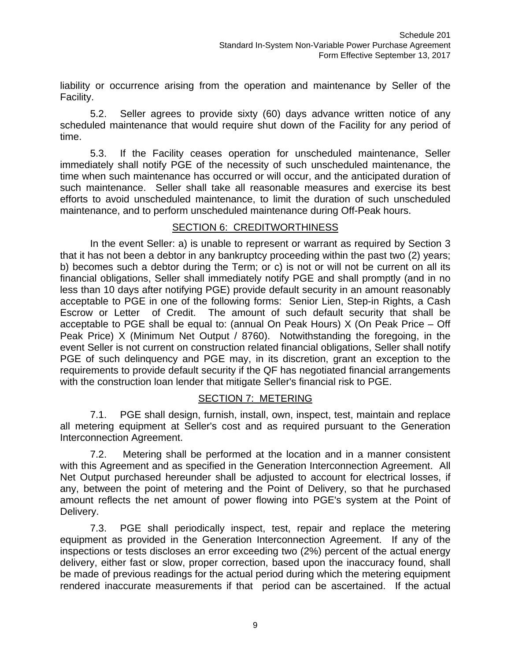liability or occurrence arising from the operation and maintenance by Seller of the Facility.

5.2. Seller agrees to provide sixty (60) days advance written notice of any scheduled maintenance that would require shut down of the Facility for any period of time.

5.3. If the Facility ceases operation for unscheduled maintenance, Seller immediately shall notify PGE of the necessity of such unscheduled maintenance, the time when such maintenance has occurred or will occur, and the anticipated duration of such maintenance. Seller shall take all reasonable measures and exercise its best efforts to avoid unscheduled maintenance, to limit the duration of such unscheduled maintenance, and to perform unscheduled maintenance during Off-Peak hours.

### SECTION 6: CREDITWORTHINESS

In the event Seller: a) is unable to represent or warrant as required by Section 3 that it has not been a debtor in any bankruptcy proceeding within the past two (2) years; b) becomes such a debtor during the Term; or c) is not or will not be current on all its financial obligations, Seller shall immediately notify PGE and shall promptly (and in no less than 10 days after notifying PGE) provide default security in an amount reasonably acceptable to PGE in one of the following forms: Senior Lien, Step-in Rights, a Cash Escrow or Letter of Credit. The amount of such default security that shall be acceptable to PGE shall be equal to: (annual On Peak Hours) X (On Peak Price – Off Peak Price) X (Minimum Net Output / 8760). Notwithstanding the foregoing, in the event Seller is not current on construction related financial obligations, Seller shall notify PGE of such delinquency and PGE may, in its discretion, grant an exception to the requirements to provide default security if the QF has negotiated financial arrangements with the construction loan lender that mitigate Seller's financial risk to PGE.

#### SECTION 7: METERING

7.1. PGE shall design, furnish, install, own, inspect, test, maintain and replace all metering equipment at Seller's cost and as required pursuant to the Generation Interconnection Agreement.

7.2. Metering shall be performed at the location and in a manner consistent with this Agreement and as specified in the Generation Interconnection Agreement. All Net Output purchased hereunder shall be adjusted to account for electrical losses, if any, between the point of metering and the Point of Delivery, so that he purchased amount reflects the net amount of power flowing into PGE's system at the Point of Delivery.

7.3. PGE shall periodically inspect, test, repair and replace the metering equipment as provided in the Generation Interconnection Agreement. If any of the inspections or tests discloses an error exceeding two (2%) percent of the actual energy delivery, either fast or slow, proper correction, based upon the inaccuracy found, shall be made of previous readings for the actual period during which the metering equipment rendered inaccurate measurements if that period can be ascertained. If the actual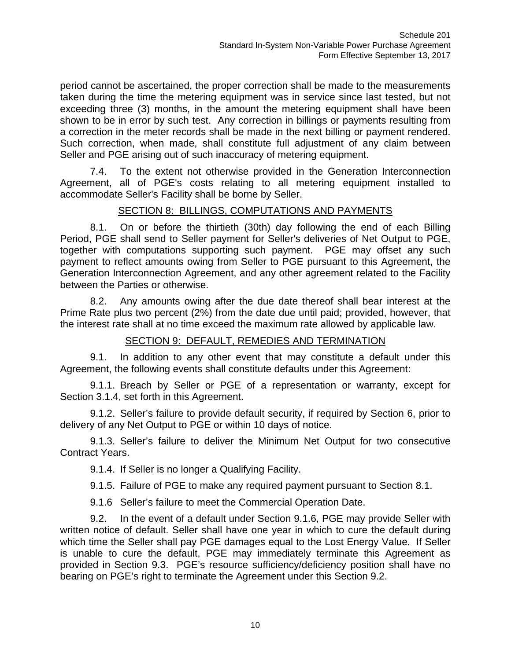period cannot be ascertained, the proper correction shall be made to the measurements taken during the time the metering equipment was in service since last tested, but not exceeding three (3) months, in the amount the metering equipment shall have been shown to be in error by such test. Any correction in billings or payments resulting from a correction in the meter records shall be made in the next billing or payment rendered. Such correction, when made, shall constitute full adjustment of any claim between Seller and PGE arising out of such inaccuracy of metering equipment.

7.4. To the extent not otherwise provided in the Generation Interconnection Agreement, all of PGE's costs relating to all metering equipment installed to accommodate Seller's Facility shall be borne by Seller.

### SECTION 8: BILLINGS, COMPUTATIONS AND PAYMENTS

8.1. On or before the thirtieth (30th) day following the end of each Billing Period, PGE shall send to Seller payment for Seller's deliveries of Net Output to PGE, together with computations supporting such payment. PGE may offset any such payment to reflect amounts owing from Seller to PGE pursuant to this Agreement, the Generation Interconnection Agreement, and any other agreement related to the Facility between the Parties or otherwise.

8.2. Any amounts owing after the due date thereof shall bear interest at the Prime Rate plus two percent (2%) from the date due until paid; provided, however, that the interest rate shall at no time exceed the maximum rate allowed by applicable law.

# SECTION 9: DEFAULT, REMEDIES AND TERMINATION

9.1. In addition to any other event that may constitute a default under this Agreement, the following events shall constitute defaults under this Agreement:

9.1.1. Breach by Seller or PGE of a representation or warranty, except for Section 3.1.4, set forth in this Agreement.

9.1.2. Seller's failure to provide default security, if required by Section 6, prior to delivery of any Net Output to PGE or within 10 days of notice.

9.1.3. Seller's failure to deliver the Minimum Net Output for two consecutive Contract Years.

9.1.4. If Seller is no longer a Qualifying Facility.

9.1.5. Failure of PGE to make any required payment pursuant to Section 8.1.

9.1.6 Seller's failure to meet the Commercial Operation Date.

9.2. In the event of a default under Section 9.1.6, PGE may provide Seller with written notice of default. Seller shall have one year in which to cure the default during which time the Seller shall pay PGE damages equal to the Lost Energy Value. If Seller is unable to cure the default, PGE may immediately terminate this Agreement as provided in Section 9.3. PGE's resource sufficiency/deficiency position shall have no bearing on PGE's right to terminate the Agreement under this Section 9.2.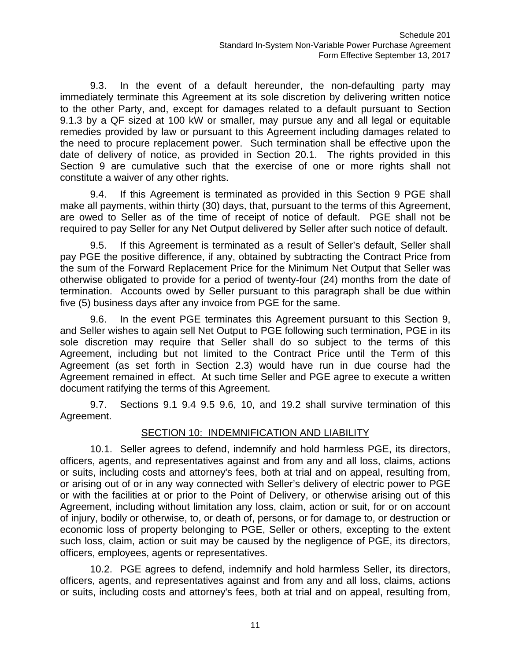9.3. In the event of a default hereunder, the non-defaulting party may immediately terminate this Agreement at its sole discretion by delivering written notice to the other Party, and, except for damages related to a default pursuant to Section 9.1.3 by a QF sized at 100 kW or smaller, may pursue any and all legal or equitable remedies provided by law or pursuant to this Agreement including damages related to the need to procure replacement power. Such termination shall be effective upon the date of delivery of notice, as provided in Section 20.1. The rights provided in this Section 9 are cumulative such that the exercise of one or more rights shall not constitute a waiver of any other rights.

9.4. If this Agreement is terminated as provided in this Section 9 PGE shall make all payments, within thirty (30) days, that, pursuant to the terms of this Agreement, are owed to Seller as of the time of receipt of notice of default. PGE shall not be required to pay Seller for any Net Output delivered by Seller after such notice of default.

9.5. If this Agreement is terminated as a result of Seller's default, Seller shall pay PGE the positive difference, if any, obtained by subtracting the Contract Price from the sum of the Forward Replacement Price for the Minimum Net Output that Seller was otherwise obligated to provide for a period of twenty-four (24) months from the date of termination. Accounts owed by Seller pursuant to this paragraph shall be due within five (5) business days after any invoice from PGE for the same.

9.6. In the event PGE terminates this Agreement pursuant to this Section 9, and Seller wishes to again sell Net Output to PGE following such termination, PGE in its sole discretion may require that Seller shall do so subject to the terms of this Agreement, including but not limited to the Contract Price until the Term of this Agreement (as set forth in Section 2.3) would have run in due course had the Agreement remained in effect. At such time Seller and PGE agree to execute a written document ratifying the terms of this Agreement.

9.7. Sections 9.1 9.4 9.5 9.6, 10, and 19.2 shall survive termination of this Agreement.

# SECTION 10: INDEMNIFICATION AND LIABILITY

10.1. Seller agrees to defend, indemnify and hold harmless PGE, its directors, officers, agents, and representatives against and from any and all loss, claims, actions or suits, including costs and attorney's fees, both at trial and on appeal, resulting from, or arising out of or in any way connected with Seller's delivery of electric power to PGE or with the facilities at or prior to the Point of Delivery, or otherwise arising out of this Agreement, including without limitation any loss, claim, action or suit, for or on account of injury, bodily or otherwise, to, or death of, persons, or for damage to, or destruction or economic loss of property belonging to PGE, Seller or others, excepting to the extent such loss, claim, action or suit may be caused by the negligence of PGE, its directors, officers, employees, agents or representatives.

10.2. PGE agrees to defend, indemnify and hold harmless Seller, its directors, officers, agents, and representatives against and from any and all loss, claims, actions or suits, including costs and attorney's fees, both at trial and on appeal, resulting from,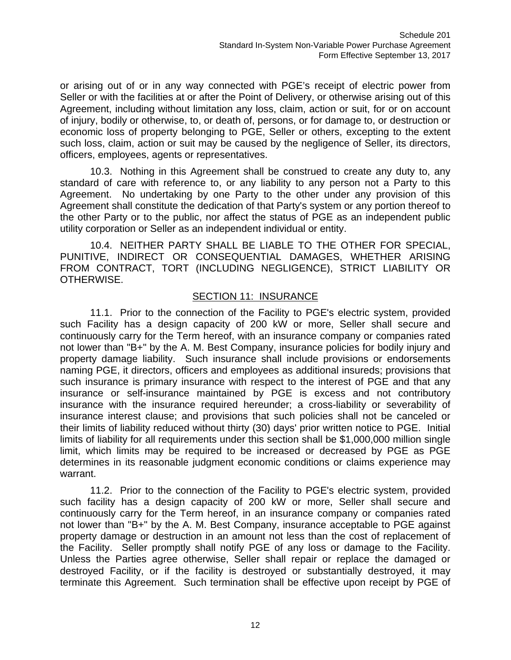or arising out of or in any way connected with PGE's receipt of electric power from Seller or with the facilities at or after the Point of Delivery, or otherwise arising out of this Agreement, including without limitation any loss, claim, action or suit, for or on account of injury, bodily or otherwise, to, or death of, persons, or for damage to, or destruction or economic loss of property belonging to PGE, Seller or others, excepting to the extent such loss, claim, action or suit may be caused by the negligence of Seller, its directors, officers, employees, agents or representatives.

10.3. Nothing in this Agreement shall be construed to create any duty to, any standard of care with reference to, or any liability to any person not a Party to this Agreement. No undertaking by one Party to the other under any provision of this Agreement shall constitute the dedication of that Party's system or any portion thereof to the other Party or to the public, nor affect the status of PGE as an independent public utility corporation or Seller as an independent individual or entity.

10.4. NEITHER PARTY SHALL BE LIABLE TO THE OTHER FOR SPECIAL, PUNITIVE, INDIRECT OR CONSEQUENTIAL DAMAGES, WHETHER ARISING FROM CONTRACT, TORT (INCLUDING NEGLIGENCE), STRICT LIABILITY OR OTHERWISE.

#### SECTION 11: INSURANCE

11.1. Prior to the connection of the Facility to PGE's electric system, provided such Facility has a design capacity of 200 kW or more, Seller shall secure and continuously carry for the Term hereof, with an insurance company or companies rated not lower than "B+" by the A. M. Best Company, insurance policies for bodily injury and property damage liability. Such insurance shall include provisions or endorsements naming PGE, it directors, officers and employees as additional insureds; provisions that such insurance is primary insurance with respect to the interest of PGE and that any insurance or self-insurance maintained by PGE is excess and not contributory insurance with the insurance required hereunder; a cross-liability or severability of insurance interest clause; and provisions that such policies shall not be canceled or their limits of liability reduced without thirty (30) days' prior written notice to PGE. Initial limits of liability for all requirements under this section shall be \$1,000,000 million single limit, which limits may be required to be increased or decreased by PGE as PGE determines in its reasonable judgment economic conditions or claims experience may warrant.

11.2. Prior to the connection of the Facility to PGE's electric system, provided such facility has a design capacity of 200 kW or more, Seller shall secure and continuously carry for the Term hereof, in an insurance company or companies rated not lower than "B+" by the A. M. Best Company, insurance acceptable to PGE against property damage or destruction in an amount not less than the cost of replacement of the Facility. Seller promptly shall notify PGE of any loss or damage to the Facility. Unless the Parties agree otherwise, Seller shall repair or replace the damaged or destroyed Facility, or if the facility is destroyed or substantially destroyed, it may terminate this Agreement. Such termination shall be effective upon receipt by PGE of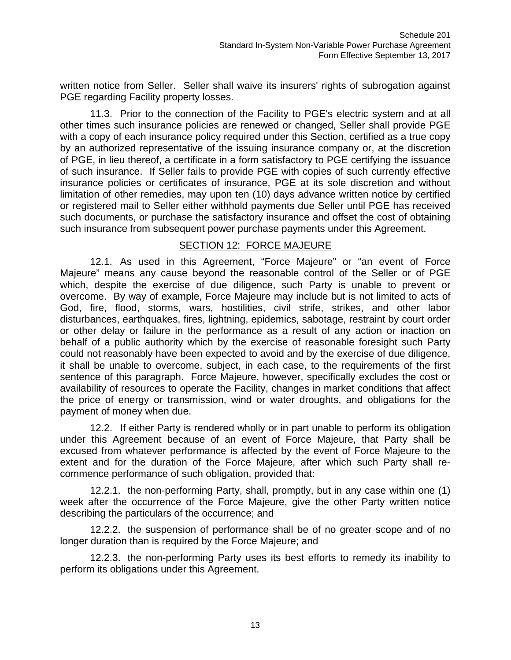written notice from Seller. Seller shall waive its insurers' rights of subrogation against PGE regarding Facility property losses.

11.3. Prior to the connection of the Facility to PGE's electric system and at all other times such insurance policies are renewed or changed, Seller shall provide PGE with a copy of each insurance policy required under this Section, certified as a true copy by an authorized representative of the issuing insurance company or, at the discretion of PGE, in lieu thereof, a certificate in a form satisfactory to PGE certifying the issuance of such insurance. If Seller fails to provide PGE with copies of such currently effective insurance policies or certificates of insurance, PGE at its sole discretion and without limitation of other remedies, may upon ten (10) days advance written notice by certified or registered mail to Seller either withhold payments due Seller until PGE has received such documents, or purchase the satisfactory insurance and offset the cost of obtaining such insurance from subsequent power purchase payments under this Agreement.

#### SECTION 12: FORCE MAJEURE

12.1. As used in this Agreement, "Force Majeure" or "an event of Force Majeure" means any cause beyond the reasonable control of the Seller or of PGE which, despite the exercise of due diligence, such Party is unable to prevent or overcome. By way of example, Force Majeure may include but is not limited to acts of God, fire, flood, storms, wars, hostilities, civil strife, strikes, and other labor disturbances, earthquakes, fires, lightning, epidemics, sabotage, restraint by court order or other delay or failure in the performance as a result of any action or inaction on behalf of a public authority which by the exercise of reasonable foresight such Party could not reasonably have been expected to avoid and by the exercise of due diligence, it shall be unable to overcome, subject, in each case, to the requirements of the first sentence of this paragraph. Force Majeure, however, specifically excludes the cost or availability of resources to operate the Facility, changes in market conditions that affect the price of energy or transmission, wind or water droughts, and obligations for the payment of money when due.

12.2. If either Party is rendered wholly or in part unable to perform its obligation under this Agreement because of an event of Force Majeure, that Party shall be excused from whatever performance is affected by the event of Force Majeure to the extent and for the duration of the Force Majeure, after which such Party shall recommence performance of such obligation, provided that:

12.2.1. the non-performing Party, shall, promptly, but in any case within one (1) week after the occurrence of the Force Majeure, give the other Party written notice describing the particulars of the occurrence; and

12.2.2. the suspension of performance shall be of no greater scope and of no longer duration than is required by the Force Majeure; and

12.2.3. the non-performing Party uses its best efforts to remedy its inability to perform its obligations under this Agreement.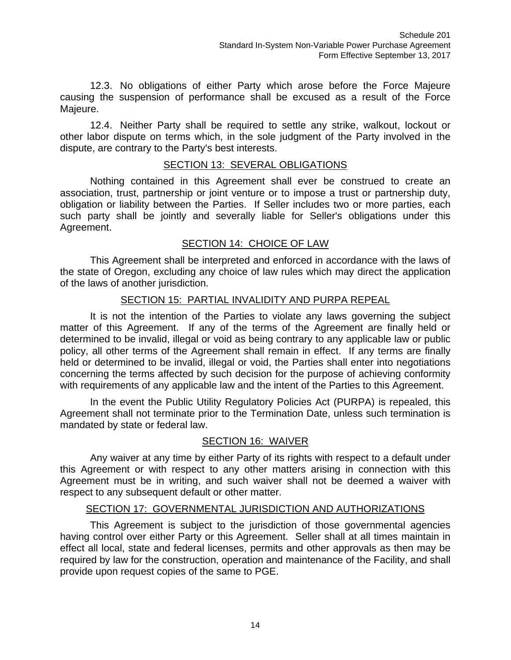12.3. No obligations of either Party which arose before the Force Majeure causing the suspension of performance shall be excused as a result of the Force Majeure.

12.4. Neither Party shall be required to settle any strike, walkout, lockout or other labor dispute on terms which, in the sole judgment of the Party involved in the dispute, are contrary to the Party's best interests.

# SECTION 13: SEVERAL OBLIGATIONS

Nothing contained in this Agreement shall ever be construed to create an association, trust, partnership or joint venture or to impose a trust or partnership duty, obligation or liability between the Parties. If Seller includes two or more parties, each such party shall be jointly and severally liable for Seller's obligations under this Agreement.

# SECTION 14: CHOICE OF LAW

This Agreement shall be interpreted and enforced in accordance with the laws of the state of Oregon, excluding any choice of law rules which may direct the application of the laws of another jurisdiction.

#### SECTION 15: PARTIAL INVALIDITY AND PURPA REPEAL

It is not the intention of the Parties to violate any laws governing the subject matter of this Agreement. If any of the terms of the Agreement are finally held or determined to be invalid, illegal or void as being contrary to any applicable law or public policy, all other terms of the Agreement shall remain in effect. If any terms are finally held or determined to be invalid, illegal or void, the Parties shall enter into negotiations concerning the terms affected by such decision for the purpose of achieving conformity with requirements of any applicable law and the intent of the Parties to this Agreement.

In the event the Public Utility Regulatory Policies Act (PURPA) is repealed, this Agreement shall not terminate prior to the Termination Date, unless such termination is mandated by state or federal law.

#### SECTION 16: WAIVER

Any waiver at any time by either Party of its rights with respect to a default under this Agreement or with respect to any other matters arising in connection with this Agreement must be in writing, and such waiver shall not be deemed a waiver with respect to any subsequent default or other matter.

#### SECTION 17: GOVERNMENTAL JURISDICTION AND AUTHORIZATIONS

This Agreement is subject to the jurisdiction of those governmental agencies having control over either Party or this Agreement. Seller shall at all times maintain in effect all local, state and federal licenses, permits and other approvals as then may be required by law for the construction, operation and maintenance of the Facility, and shall provide upon request copies of the same to PGE.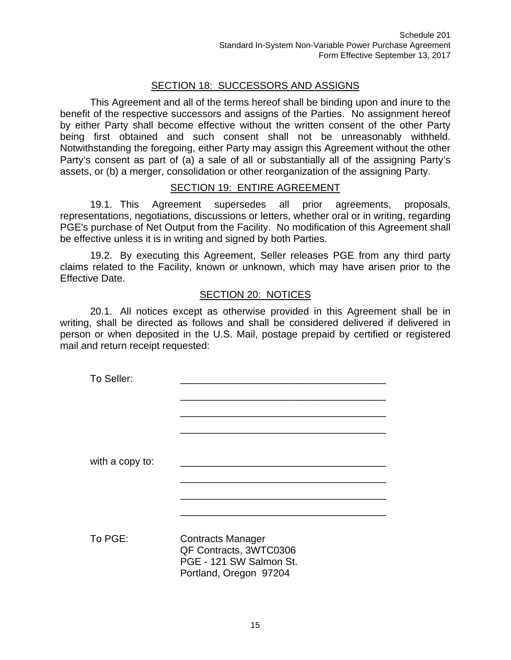# SECTION 18: SUCCESSORS AND ASSIGNS

This Agreement and all of the terms hereof shall be binding upon and inure to the benefit of the respective successors and assigns of the Parties. No assignment hereof by either Party shall become effective without the written consent of the other Party being first obtained and such consent shall not be unreasonably withheld. Notwithstanding the foregoing, either Party may assign this Agreement without the other Party's consent as part of (a) a sale of all or substantially all of the assigning Party's assets, or (b) a merger, consolidation or other reorganization of the assigning Party.

#### SECTION 19: ENTIRE AGREEMENT

19.1. This Agreement supersedes all prior agreements, proposals, representations, negotiations, discussions or letters, whether oral or in writing, regarding PGE's purchase of Net Output from the Facility. No modification of this Agreement shall be effective unless it is in writing and signed by both Parties.

19.2. By executing this Agreement, Seller releases PGE from any third party claims related to the Facility, known or unknown, which may have arisen prior to the Effective Date.

#### SECTION 20: NOTICES

20.1. All notices except as otherwise provided in this Agreement shall be in writing, shall be directed as follows and shall be considered delivered if delivered in person or when deposited in the U.S. Mail, postage prepaid by certified or registered mail and return receipt requested:

| To Seller:      |                                                                                                         |
|-----------------|---------------------------------------------------------------------------------------------------------|
| with a copy to: |                                                                                                         |
| To PGE:         | <b>Contracts Manager</b><br>QF Contracts, 3WTC0306<br>PGE - 121 SW Salmon St.<br>Portland, Oregon 97204 |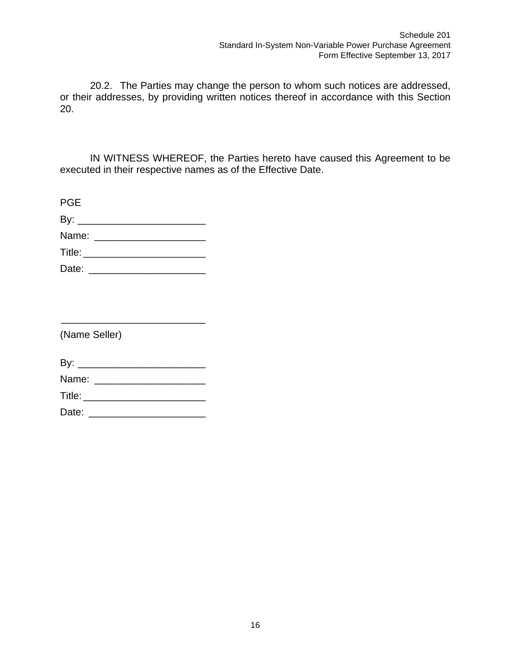20.2. The Parties may change the person to whom such notices are addressed, or their addresses, by providing written notices thereof in accordance with this Section 20.

IN WITNESS WHEREOF, the Parties hereto have caused this Agreement to be executed in their respective names as of the Effective Date.

| <b>PGE</b>                   |  |  |  |
|------------------------------|--|--|--|
| By: $\overline{\phantom{a}}$ |  |  |  |
| Name:                        |  |  |  |
| Title:                       |  |  |  |

| Date: |  |
|-------|--|
|-------|--|

(Name Seller)

| By:   |  |  |  |  |
|-------|--|--|--|--|
| Name: |  |  |  |  |

\_\_\_\_\_\_\_\_\_\_\_\_\_\_\_\_\_\_\_\_\_\_\_\_\_\_

Title: \_\_\_\_\_\_\_\_\_\_\_\_\_\_\_\_\_\_\_\_\_\_

Date: \_\_\_\_\_\_\_\_\_\_\_\_\_\_\_\_\_\_\_\_\_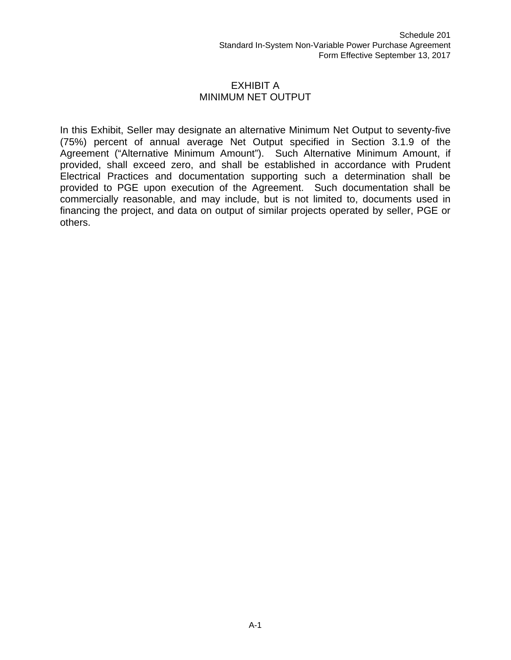#### EXHIBIT A MINIMUM NET OUTPUT

In this Exhibit, Seller may designate an alternative Minimum Net Output to seventy-five (75%) percent of annual average Net Output specified in Section 3.1.9 of the Agreement ("Alternative Minimum Amount"). Such Alternative Minimum Amount, if provided, shall exceed zero, and shall be established in accordance with Prudent Electrical Practices and documentation supporting such a determination shall be provided to PGE upon execution of the Agreement. Such documentation shall be commercially reasonable, and may include, but is not limited to, documents used in financing the project, and data on output of similar projects operated by seller, PGE or others.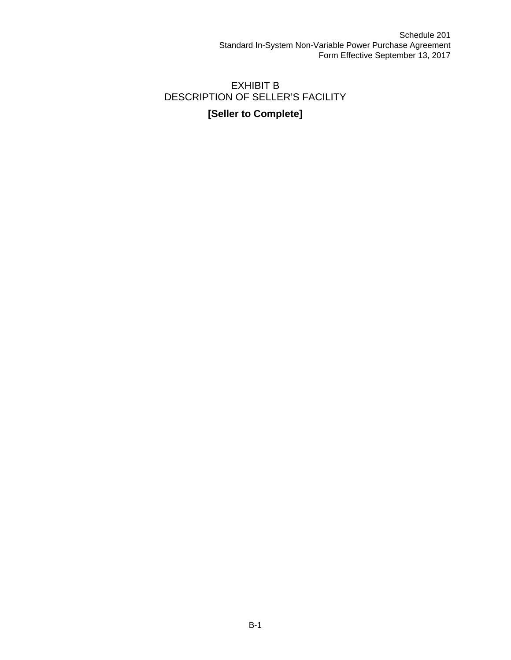# EXHIBIT B DESCRIPTION OF SELLER'S FACILITY

# **[Seller to Complete]**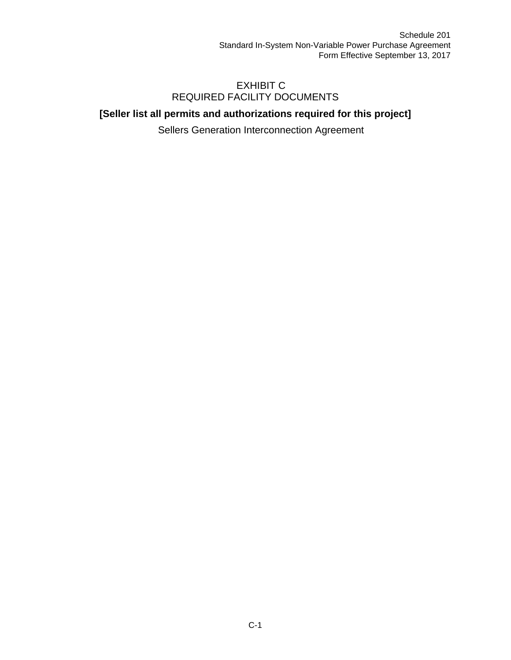## EXHIBIT C REQUIRED FACILITY DOCUMENTS

# **[Seller list all permits and authorizations required for this project]**

Sellers Generation Interconnection Agreement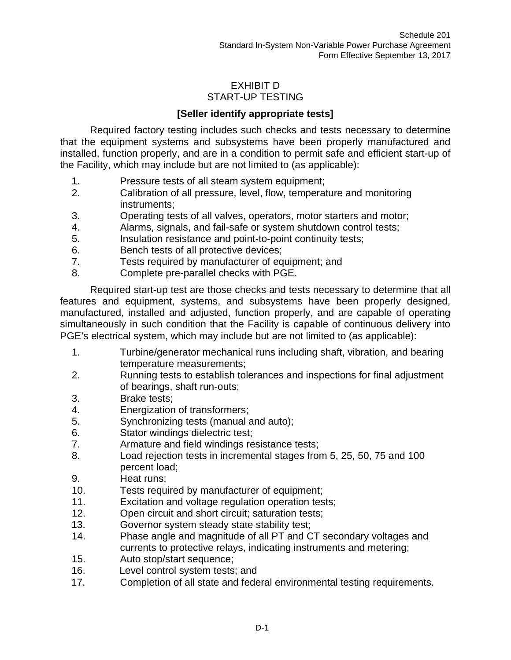# EXHIBIT D START-UP TESTING

# **[Seller identify appropriate tests]**

Required factory testing includes such checks and tests necessary to determine that the equipment systems and subsystems have been properly manufactured and installed, function properly, and are in a condition to permit safe and efficient start-up of the Facility, which may include but are not limited to (as applicable):

- 1. Pressure tests of all steam system equipment;
- 2. Calibration of all pressure, level, flow, temperature and monitoring instruments;
- 3. Operating tests of all valves, operators, motor starters and motor;
- 4. Alarms, signals, and fail-safe or system shutdown control tests;
- 5. Insulation resistance and point-to-point continuity tests;
- 6. Bench tests of all protective devices;
- 7. Tests required by manufacturer of equipment; and
- 8. Complete pre-parallel checks with PGE.

Required start-up test are those checks and tests necessary to determine that all features and equipment, systems, and subsystems have been properly designed, manufactured, installed and adjusted, function properly, and are capable of operating simultaneously in such condition that the Facility is capable of continuous delivery into PGE's electrical system, which may include but are not limited to (as applicable):

- 1. Turbine/generator mechanical runs including shaft, vibration, and bearing temperature measurements;
- 2. Running tests to establish tolerances and inspections for final adjustment of bearings, shaft run-outs;
- 3. Brake tests;
- 4. Energization of transformers;
- 5. Synchronizing tests (manual and auto);
- 6. Stator windings dielectric test;
- 7. Armature and field windings resistance tests;
- 8. Load rejection tests in incremental stages from 5, 25, 50, 75 and 100 percent load;
- 9. Heat runs;
- 10. Tests required by manufacturer of equipment;
- 11. Excitation and voltage regulation operation tests;
- 12. Open circuit and short circuit; saturation tests;
- 13. Governor system steady state stability test;
- 14. Phase angle and magnitude of all PT and CT secondary voltages and currents to protective relays, indicating instruments and metering;
- 15. Auto stop/start sequence;
- 16. Level control system tests; and
- 17. Completion of all state and federal environmental testing requirements.